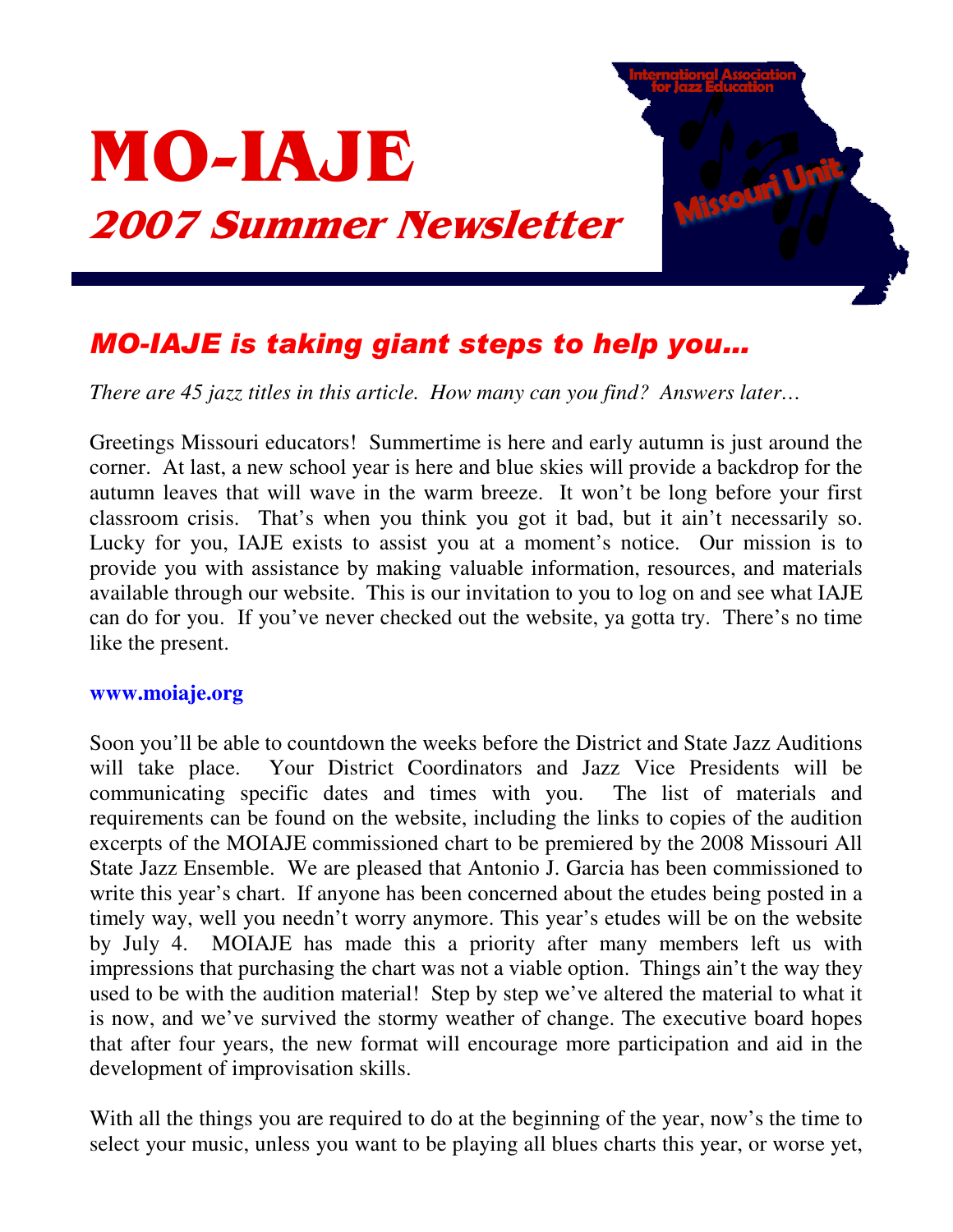

## **MO-IAJE is taking giant steps to help you...**

*There are 45 jazz titles in this article. How many can you find? Answers later…*

Greetings Missouri educators! Summertime is here and early autumn is just around the corner. At last, a new school year is here and blue skies will provide a backdrop for the autumn leaves that will wave in the warm breeze. It won't be long before your first classroom crisis. That's when you think you got it bad, but it ain't necessarily so. Lucky for you, IAJE exists to assist you at a moment's notice. Our mission is to provide you with assistance by making valuable information, resources, and materials available through our website. This is our invitation to you to log on and see what IAJE can do for you. If you've never checked out the website, ya gotta try. There's no time like the present.

#### **www.moiaje.org**

Soon you'll be able to countdown the weeks before the District and State Jazz Auditions will take place. Your District Coordinators and Jazz Vice Presidents will be communicating specific dates and times with you. The list of materials and requirements can be found on the website, including the links to copies of the audition excerpts of the MOIAJE commissioned chart to be premiered by the 2008 Missouri All State Jazz Ensemble. We are pleased that Antonio J. Garcia has been commissioned to write this year's chart. If anyone has been concerned about the etudes being posted in a timely way, well you needn't worry anymore. This year's etudes will be on the website by July 4. MOIAJE has made this a priority after many members left us with impressions that purchasing the chart was not a viable option. Things ain't the way they used to be with the audition material! Step by step we've altered the material to what it is now, and we've survived the stormy weather of change. The executive board hopes that after four years, the new format will encourage more participation and aid in the development of improvisation skills.

With all the things you are required to do at the beginning of the year, now's the time to select your music, unless you want to be playing all blues charts this year, or worse yet,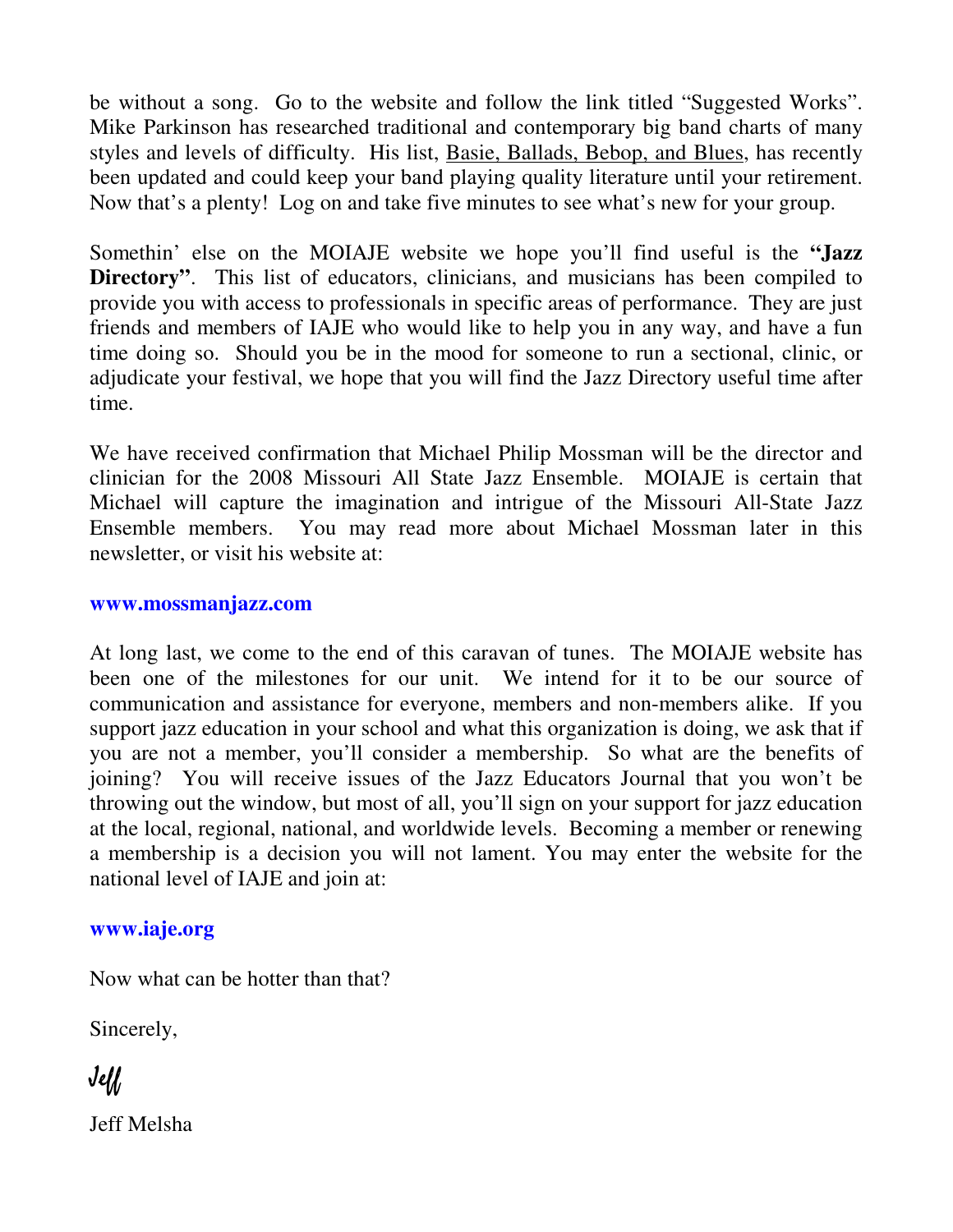be without a song. Go to the website and follow the link titled "Suggested Works". Mike Parkinson has researched traditional and contemporary big band charts of many styles and levels of difficulty. His list, Basie, Ballads, Bebop, and Blues, has recently been updated and could keep your band playing quality literature until your retirement. Now that's a plenty! Log on and take five minutes to see what's new for your group.

Somethin' else on the MOIAJE website we hope you'll find useful is the **"Jazz Directory**". This list of educators, clinicians, and musicians has been compiled to provide you with access to professionals in specific areas of performance. They are just friends and members of IAJE who would like to help you in any way, and have a fun time doing so. Should you be in the mood for someone to run a sectional, clinic, or adjudicate your festival, we hope that you will find the Jazz Directory useful time after time.

We have received confirmation that Michael Philip Mossman will be the director and clinician for the 2008 Missouri All State Jazz Ensemble. MOIAJE is certain that Michael will capture the imagination and intrigue of the Missouri All-State Jazz Ensemble members. You may read more about Michael Mossman later in this newsletter, or visit his website at:

#### **www.mossmanjazz.com**

At long last, we come to the end of this caravan of tunes. The MOIAJE website has been one of the milestones for our unit. We intend for it to be our source of communication and assistance for everyone, members and non-members alike. If you support jazz education in your school and what this organization is doing, we ask that if you are not a member, you'll consider a membership. So what are the benefits of joining? You will receive issues of the Jazz Educators Journal that you won't be throwing out the window, but most of all, you'll sign on your support for jazz education at the local, regional, national, and worldwide levels. Becoming a member or renewing a membership is a decision you will not lament. You may enter the website for the national level of IAJE and join at:

#### **www.iaje.org**

Now what can be hotter than that?

Sincerely,

 $J$ e $\mathcal U$ 

Jeff Melsha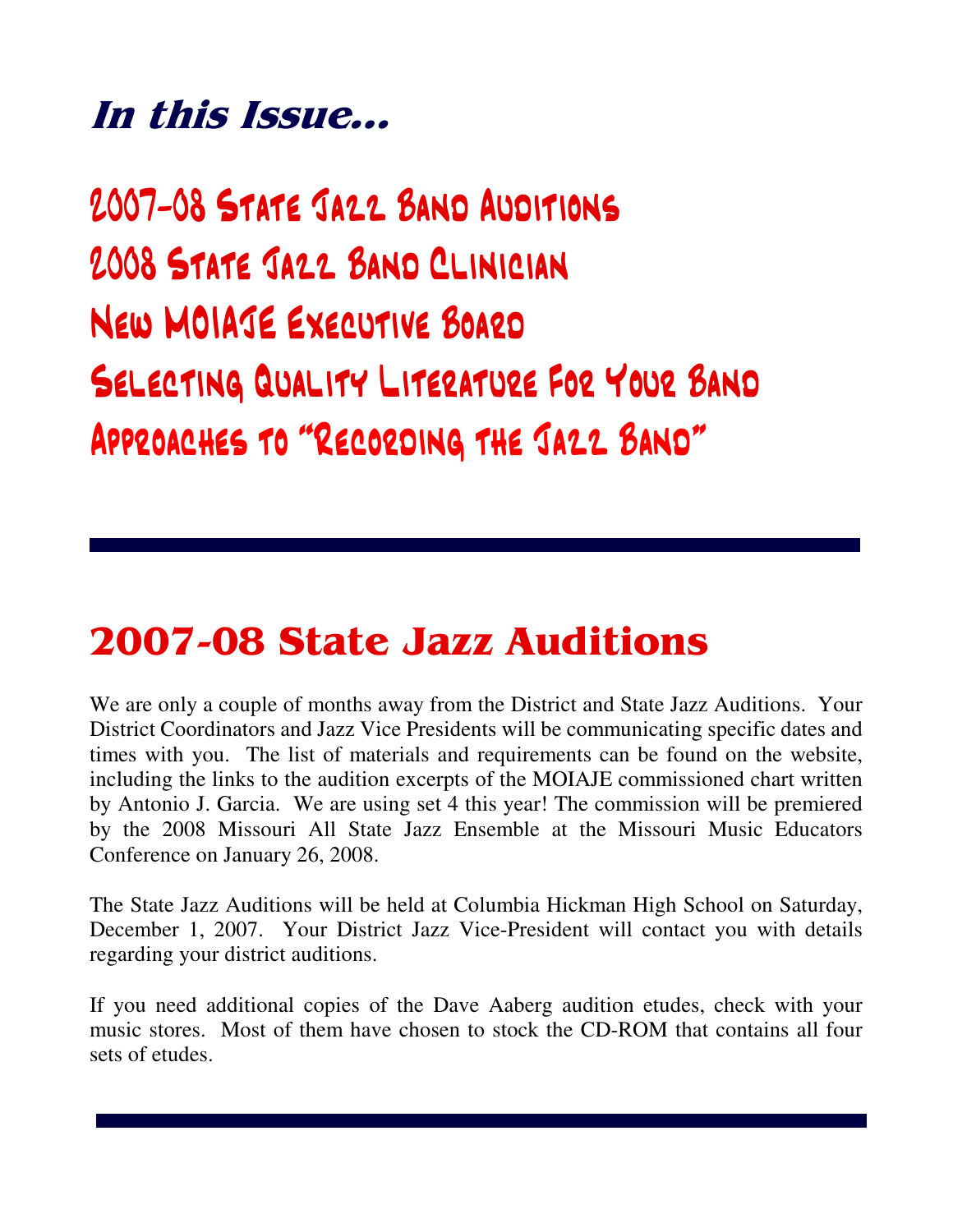# In this Issue...

2007-08 STATE JA22 BAND AUDITIONS 2008 STATE JA22 BAND CLINICIAN NEW MOIAJE EXECUTIVE BOARD SELECTING QUALITY LITERATURE FOR YOUR BAND APPROACHES TO "RECORDING THE JAZZ BAND"

# **2007-08 State Jazz Auditions**

We are only a couple of months away from the District and State Jazz Auditions. Your District Coordinators and Jazz Vice Presidents will be communicating specific dates and times with you. The list of materials and requirements can be found on the website, including the links to the audition excerpts of the MOIAJE commissioned chart written by Antonio J. Garcia. We are using set 4 this year! The commission will be premiered by the 2008 Missouri All State Jazz Ensemble at the Missouri Music Educators Conference on January 26, 2008.

The State Jazz Auditions will be held at Columbia Hickman High School on Saturday, December 1, 2007. Your District Jazz Vice-President will contact you with details regarding your district auditions.

If you need additional copies of the Dave Aaberg audition etudes, check with your music stores. Most of them have chosen to stock the CD-ROM that contains all four sets of etudes.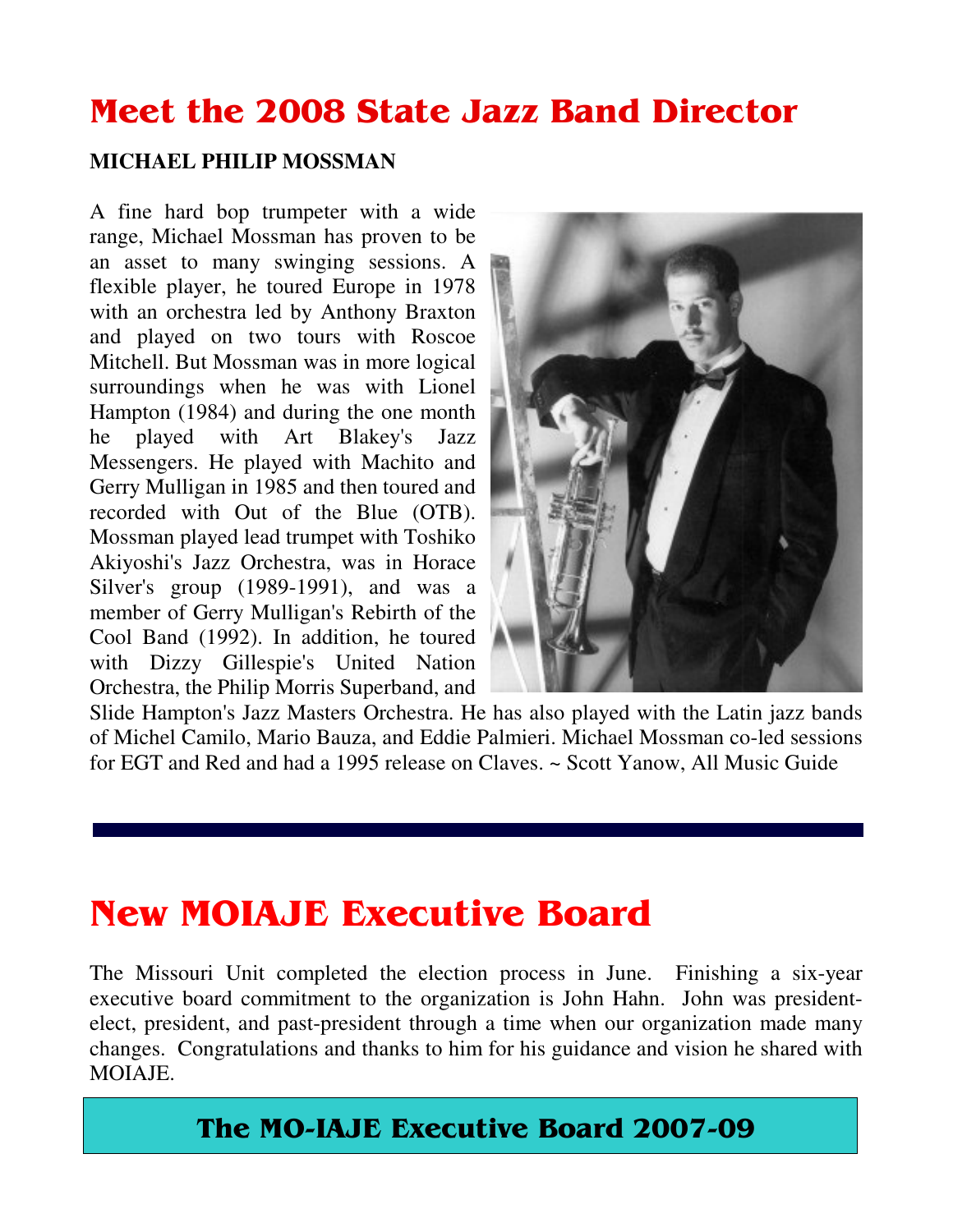# Meet the 2008 State Jazz Band Director

#### **MICHAEL PHILIP MOSSMAN**

A fine hard bop trumpeter with a wide range, Michael Mossman has proven to be an asset to many swinging sessions. A flexible player, he toured Europe in 1978 with an orchestra led by Anthony Braxton and played on two tours with Roscoe Mitchell. But Mossman was in more logical surroundings when he was with Lionel Hampton (1984) and during the one month he played with Art Blakey's Jazz Messengers. He played with Machito and Gerry Mulligan in 1985 and then toured and recorded with Out of the Blue (OTB). Mossman played lead trumpet with Toshiko Akiyoshi's Jazz Orchestra, was in Horace Silver's group (1989-1991), and was a member of Gerry Mulligan's Rebirth of the Cool Band (1992). In addition, he toured with Dizzy Gillespie's United Nation Orchestra, the Philip Morris Superband, and



Slide Hampton's Jazz Masters Orchestra. He has also played with the Latin jazz bands of Michel Camilo, Mario Bauza, and Eddie Palmieri. Michael Mossman co-led sessions for EGT and Red and had a 1995 release on Claves. ~ Scott Yanow, All Music Guide

# **New MOIAJE Executive Board**

The Missouri Unit completed the election process in June. Finishing a six-year executive board commitment to the organization is John Hahn. John was presidentelect, president, and past-president through a time when our organization made many changes. Congratulations and thanks to him for his guidance and vision he shared with MOIAJE.

### The MO-IAJE Executive Board 2007-09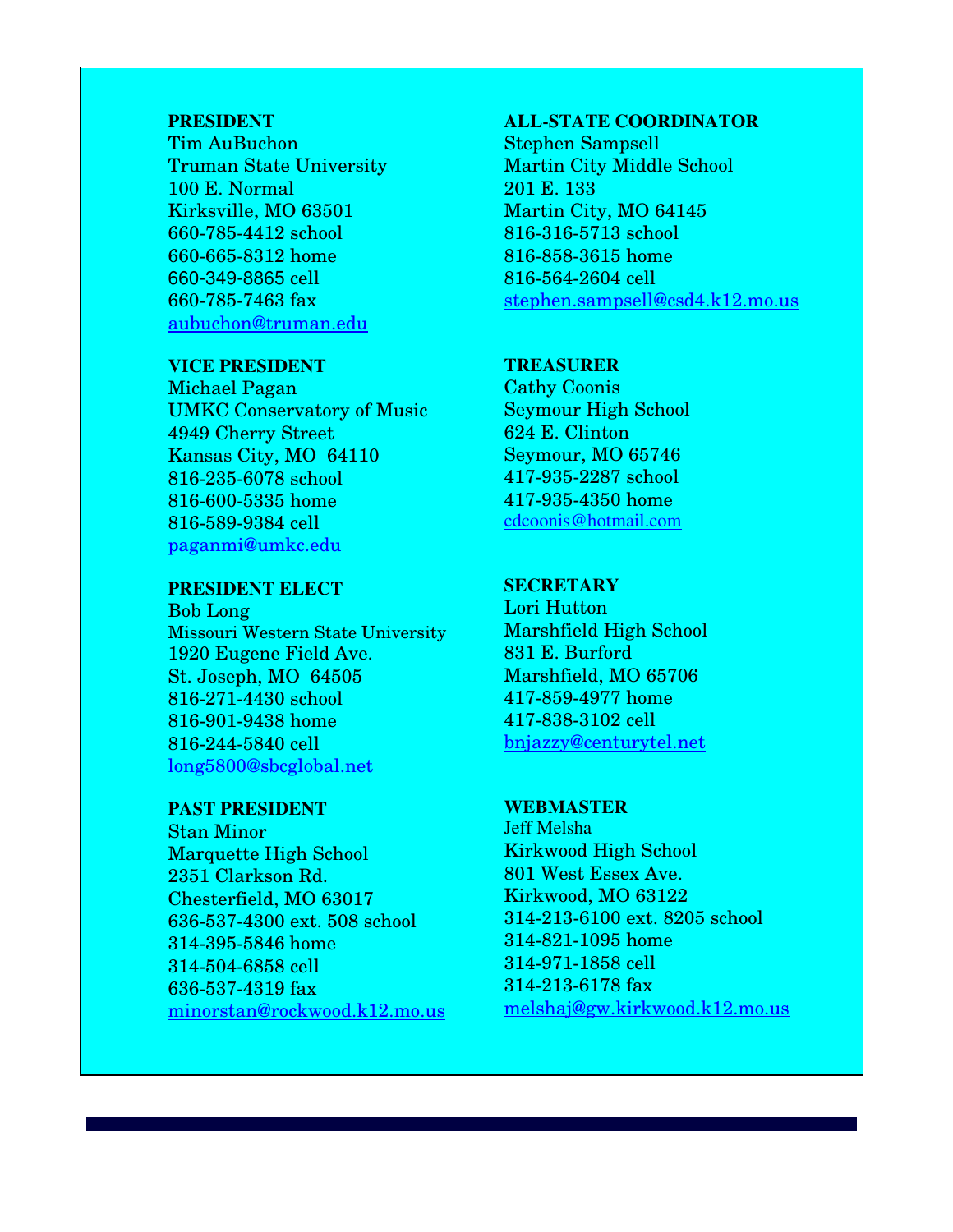#### **PRESIDENT**

Tim AuBuchon Truman State University 100 E. Normal Kirksville, MO 63501 660-785-4412 school 660-665-8312 home 660-349-8865 cell 660-785-7463 fax aubuchon@truman.edu

#### **VICE PRESIDENT**

Michael Pagan UMKC Conservatory of Music 4949 Cherry Street Kansas City, MO 64110 816-235-6078 school 816-600-5335 home 816-589-9384 cell paganmi@umkc.edu

#### **PRESIDENT ELECT**

Bob Long Missouri Western State University 1920 Eugene Field Ave. St. Joseph, MO 64505 816-271-4430 school 816-901-9438 home 816-244-5840 cell long5800@sbcglobal.net

#### **PAST PRESIDENT**

Stan Minor Marquette High School 2351 Clarkson Rd. Chesterfield, MO 63017 636-537-4300 ext. 508 school 314-395-5846 home 314-504-6858 cell 636-537-4319 fax minorstan@rockwood.k12.mo.us

#### **ALL-STATE COORDINATOR**

Stephen Sampsell Martin City Middle School 201 E. 133 Martin City, MO 64145 816-316-5713 school 816-858-3615 home 816-564-2604 cell stephen.sampsell@csd4.k12.mo.us

#### **TREASURER**

Cathy Coonis Seymour High School 624 E. Clinton Seymour, MO 65746 417-935-2287 school 417-935-4350 home cdcoonis@hotmail.com

#### **SECRETARY**

Lori Hutton Marshfield High School 831 E. Burford Marshfield, MO 65706 417-859-4977 home 417-838-3102 cell bnjazzy@centurytel.net

#### **WEBMASTER**

Jeff Melsha Kirkwood High School 801 West Essex Ave. Kirkwood, MO 63122 314-213-6100 ext. 8205 school 314-821-1095 home 314-971-1858 cell 314-213-6178 fax melshaj@gw.kirkwood.k12.mo.us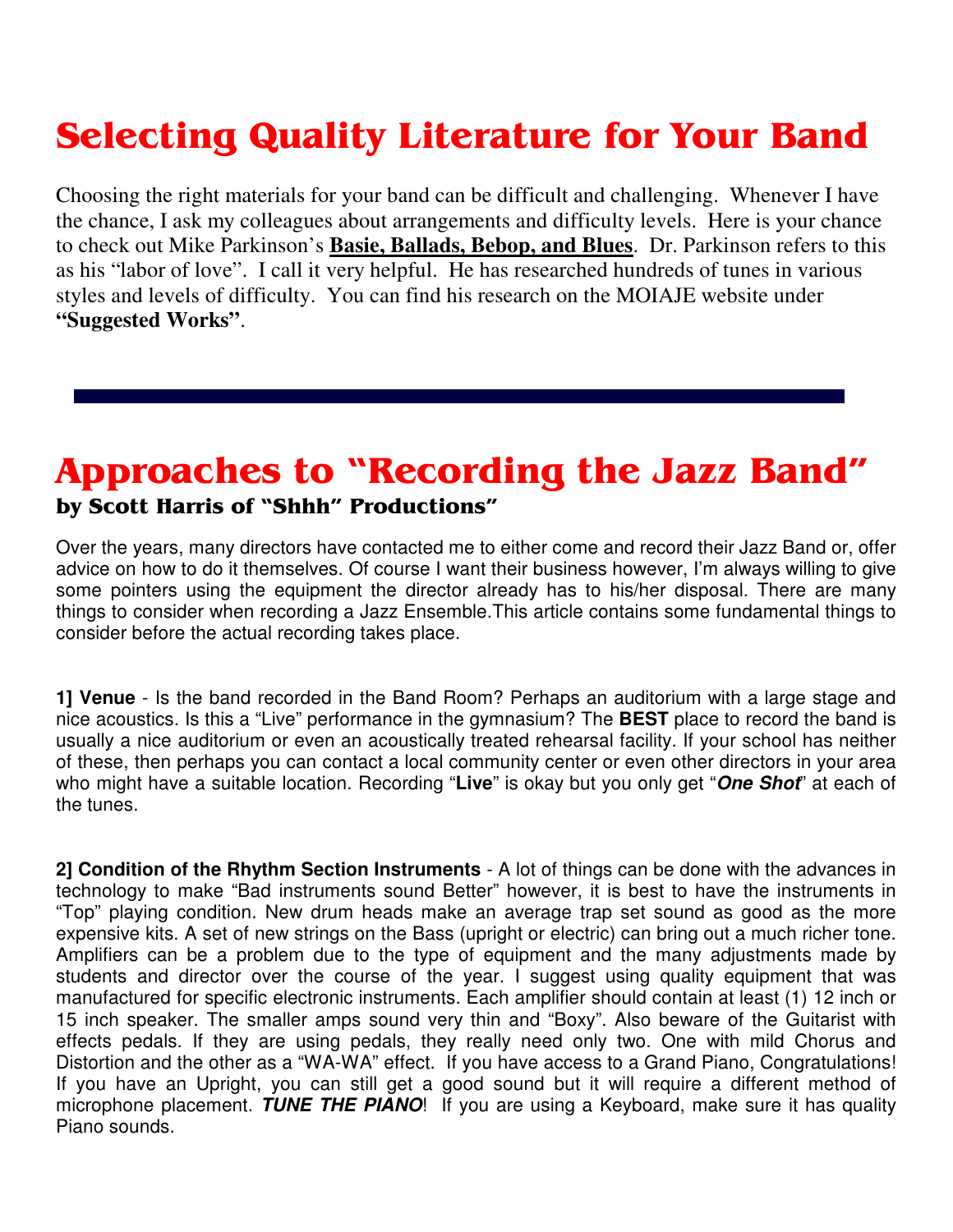# **Selecting Quality Literature for Your Band**

Choosing the right materials for your band can be difficult and challenging. Whenever I have the chance, I ask my colleagues about arrangements and difficulty levels. Here is your chance to check out Mike Parkinson's **Basie, Ballads, Bebop, and Blues**. Dr. Parkinson refers to this as his "labor of love". I call it very helpful. He has researched hundreds of tunes in various styles and levels of difficulty. You can find his research on the MOIAJE website under **"Suggested Works"**.

### Approaches to "Recording the Jazz Band" by Scott Harris of "Shhh" Productions"

Over the years, many directors have contacted me to either come and record their Jazz Band or, offer advice on how to do it themselves. Of course I want their business however, I'm always willing to give some pointers using the equipment the director already has to his/her disposal. There are many things to consider when recording a Jazz Ensemble.This article contains some fundamental things to consider before the actual recording takes place.

**1] Venue** - Is the band recorded in the Band Room? Perhaps an auditorium with a large stage and nice acoustics. Is this a "Live" performance in the gymnasium? The **BEST** place to record the band is usually a nice auditorium or even an acoustically treated rehearsal facility. If your school has neither of these, then perhaps you can contact a local community center or even other directors in your area who might have a suitable location. Recording "**Live**" is okay but you only get "*One Shot*" at each of the tunes.

**2] Condition of the Rhythm Section Instruments** - A lot of things can be done with the advances in technology to make "Bad instruments sound Better" however, it is best to have the instruments in "Top" playing condition. New drum heads make an average trap set sound as good as the more expensive kits. A set of new strings on the Bass (upright or electric) can bring out a much richer tone. Amplifiers can be a problem due to the type of equipment and the many adjustments made by students and director over the course of the year. I suggest using quality equipment that was manufactured for specific electronic instruments. Each amplifier should contain at least (1) 12 inch or 15 inch speaker. The smaller amps sound very thin and "Boxy". Also beware of the Guitarist with effects pedals. If they are using pedals, they really need only two. One with mild Chorus and Distortion and the other as a "WA-WA" effect. If you have access to a Grand Piano, Congratulations! If you have an Upright, you can still get a good sound but it will require a different method of microphone placement. *TUNE THE PIANO*! If you are using a Keyboard, make sure it has quality Piano sounds.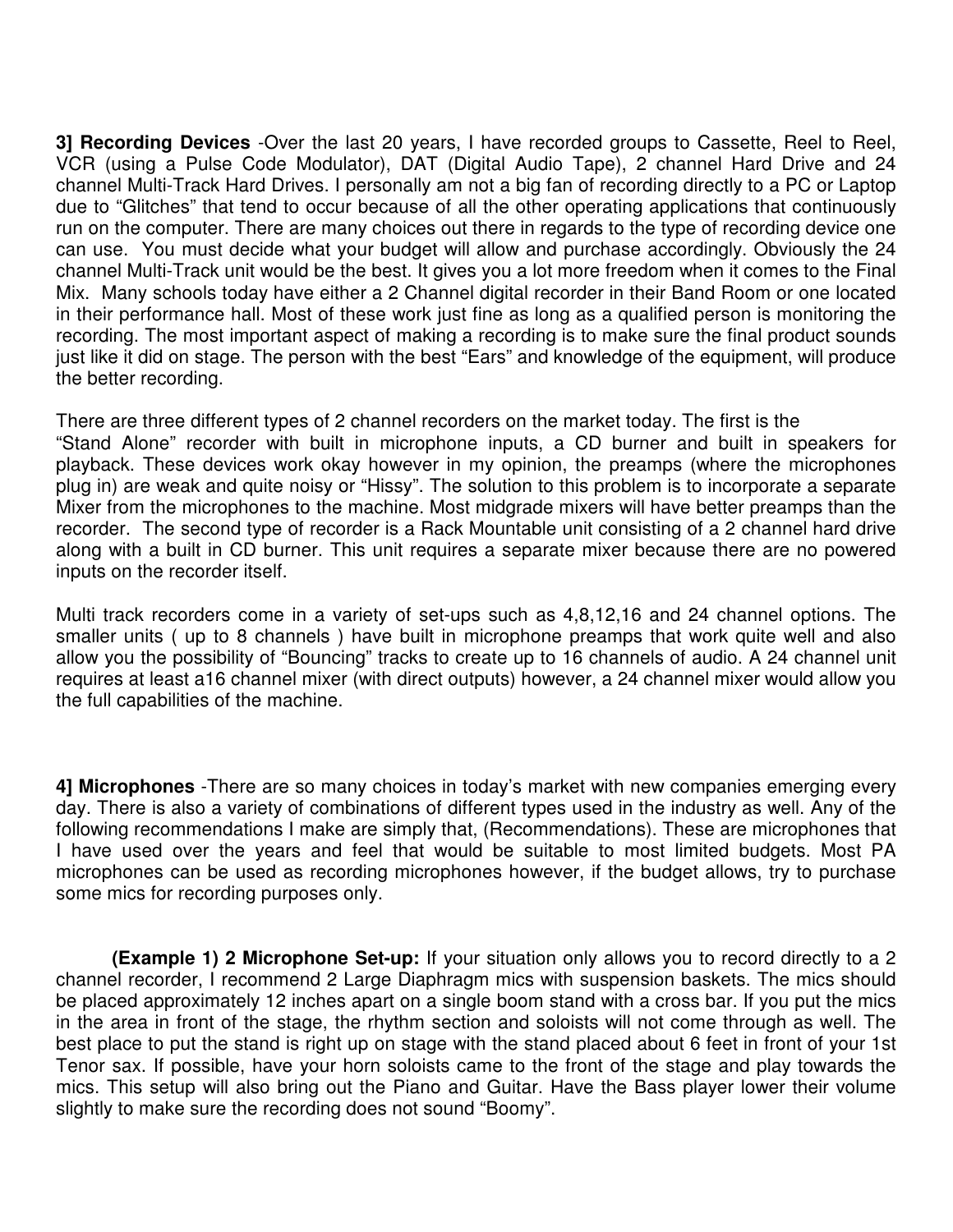**3] Recording Devices** -Over the last 20 years, I have recorded groups to Cassette, Reel to Reel, VCR (using a Pulse Code Modulator), DAT (Digital Audio Tape), 2 channel Hard Drive and 24 channel Multi-Track Hard Drives. I personally am not a big fan of recording directly to a PC or Laptop due to "Glitches" that tend to occur because of all the other operating applications that continuously run on the computer. There are many choices out there in regards to the type of recording device one can use. You must decide what your budget will allow and purchase accordingly. Obviously the 24 channel Multi-Track unit would be the best. It gives you a lot more freedom when it comes to the Final Mix. Many schools today have either a 2 Channel digital recorder in their Band Room or one located in their performance hall. Most of these work just fine as long as a qualified person is monitoring the recording. The most important aspect of making a recording is to make sure the final product sounds just like it did on stage. The person with the best "Ears" and knowledge of the equipment, will produce the better recording.

There are three different types of 2 channel recorders on the market today. The first is the "Stand Alone" recorder with built in microphone inputs, a CD burner and built in speakers for playback. These devices work okay however in my opinion, the preamps (where the microphones plug in) are weak and quite noisy or "Hissy". The solution to this problem is to incorporate a separate Mixer from the microphones to the machine. Most midgrade mixers will have better preamps than the recorder. The second type of recorder is a Rack Mountable unit consisting of a 2 channel hard drive along with a built in CD burner. This unit requires a separate mixer because there are no powered inputs on the recorder itself.

Multi track recorders come in a variety of set-ups such as 4,8,12,16 and 24 channel options. The smaller units ( up to 8 channels ) have built in microphone preamps that work quite well and also allow you the possibility of "Bouncing" tracks to create up to 16 channels of audio. A 24 channel unit requires at least a16 channel mixer (with direct outputs) however, a 24 channel mixer would allow you the full capabilities of the machine.

**4] Microphones** -There are so many choices in today's market with new companies emerging every day. There is also a variety of combinations of different types used in the industry as well. Any of the following recommendations I make are simply that, (Recommendations). These are microphones that I have used over the years and feel that would be suitable to most limited budgets. Most PA microphones can be used as recording microphones however, if the budget allows, try to purchase some mics for recording purposes only.

**(Example 1) 2 Microphone Set-up:** If your situation only allows you to record directly to a 2 channel recorder, I recommend 2 Large Diaphragm mics with suspension baskets. The mics should be placed approximately 12 inches apart on a single boom stand with a cross bar. If you put the mics in the area in front of the stage, the rhythm section and soloists will not come through as well. The best place to put the stand is right up on stage with the stand placed about 6 feet in front of your 1st Tenor sax. If possible, have your horn soloists came to the front of the stage and play towards the mics. This setup will also bring out the Piano and Guitar. Have the Bass player lower their volume slightly to make sure the recording does not sound "Boomy".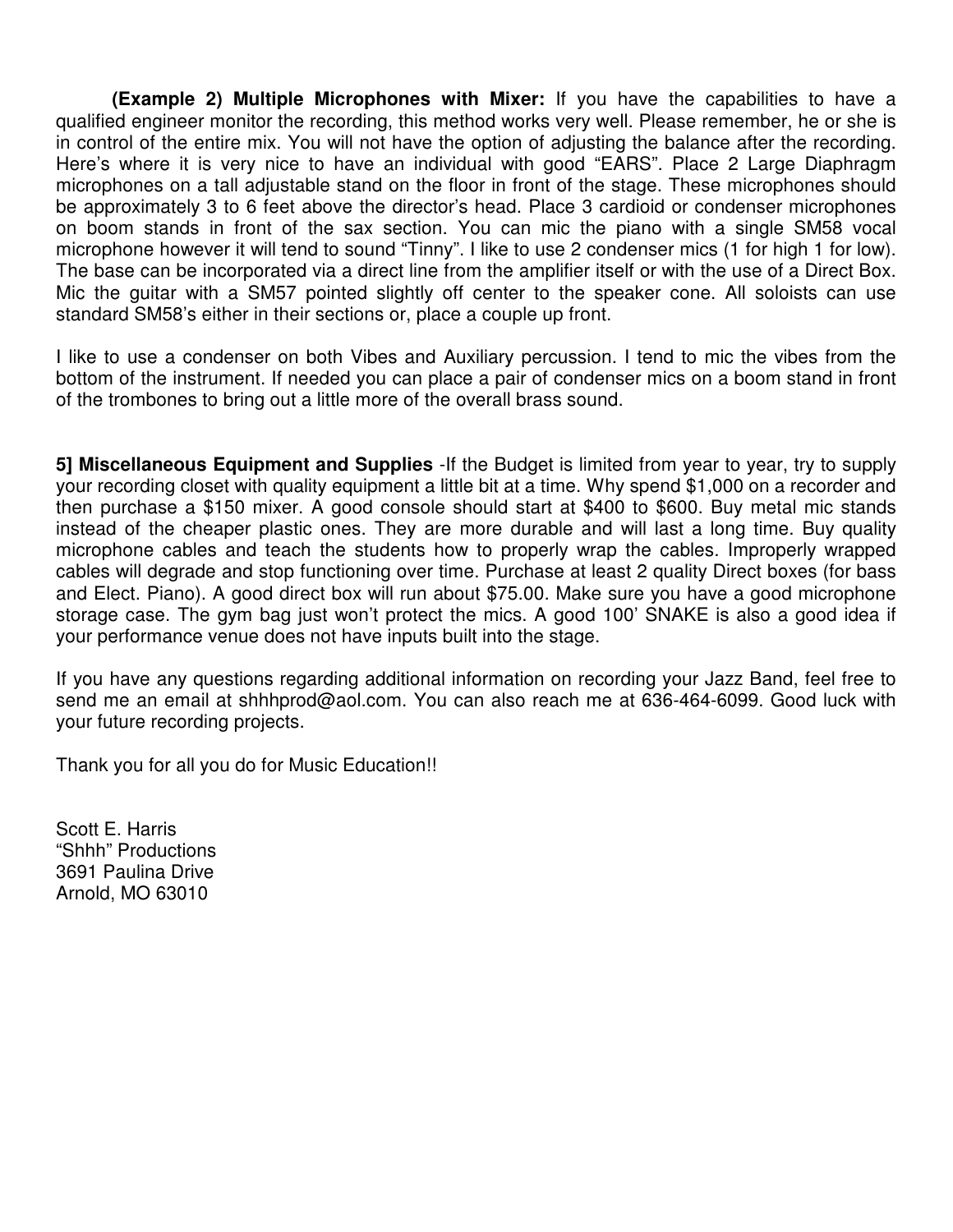**(Example 2) Multiple Microphones with Mixer:** If you have the capabilities to have a qualified engineer monitor the recording, this method works very well. Please remember, he or she is in control of the entire mix. You will not have the option of adjusting the balance after the recording. Here's where it is very nice to have an individual with good "EARS". Place 2 Large Diaphragm microphones on a tall adjustable stand on the floor in front of the stage. These microphones should be approximately 3 to 6 feet above the director's head. Place 3 cardioid or condenser microphones on boom stands in front of the sax section. You can mic the piano with a single SM58 vocal microphone however it will tend to sound "Tinny". I like to use 2 condenser mics (1 for high 1 for low). The base can be incorporated via a direct line from the amplifier itself or with the use of a Direct Box. Mic the guitar with a SM57 pointed slightly off center to the speaker cone. All soloists can use standard SM58's either in their sections or, place a couple up front.

I like to use a condenser on both Vibes and Auxiliary percussion. I tend to mic the vibes from the bottom of the instrument. If needed you can place a pair of condenser mics on a boom stand in front of the trombones to bring out a little more of the overall brass sound.

**5] Miscellaneous Equipment and Supplies** -If the Budget is limited from year to year, try to supply your recording closet with quality equipment a little bit at a time. Why spend \$1,000 on a recorder and then purchase a \$150 mixer. A good console should start at \$400 to \$600. Buy metal mic stands instead of the cheaper plastic ones. They are more durable and will last a long time. Buy quality microphone cables and teach the students how to properly wrap the cables. Improperly wrapped cables will degrade and stop functioning over time. Purchase at least 2 quality Direct boxes (for bass and Elect. Piano). A good direct box will run about \$75.00. Make sure you have a good microphone storage case. The gym bag just won't protect the mics. A good 100' SNAKE is also a good idea if your performance venue does not have inputs built into the stage.

If you have any questions regarding additional information on recording your Jazz Band, feel free to send me an email at shhhprod@aol.com. You can also reach me at 636-464-6099. Good luck with your future recording projects.

Thank you for all you do for Music Education!!

Scott E. Harris "Shhh" Productions 3691 Paulina Drive Arnold, MO 63010